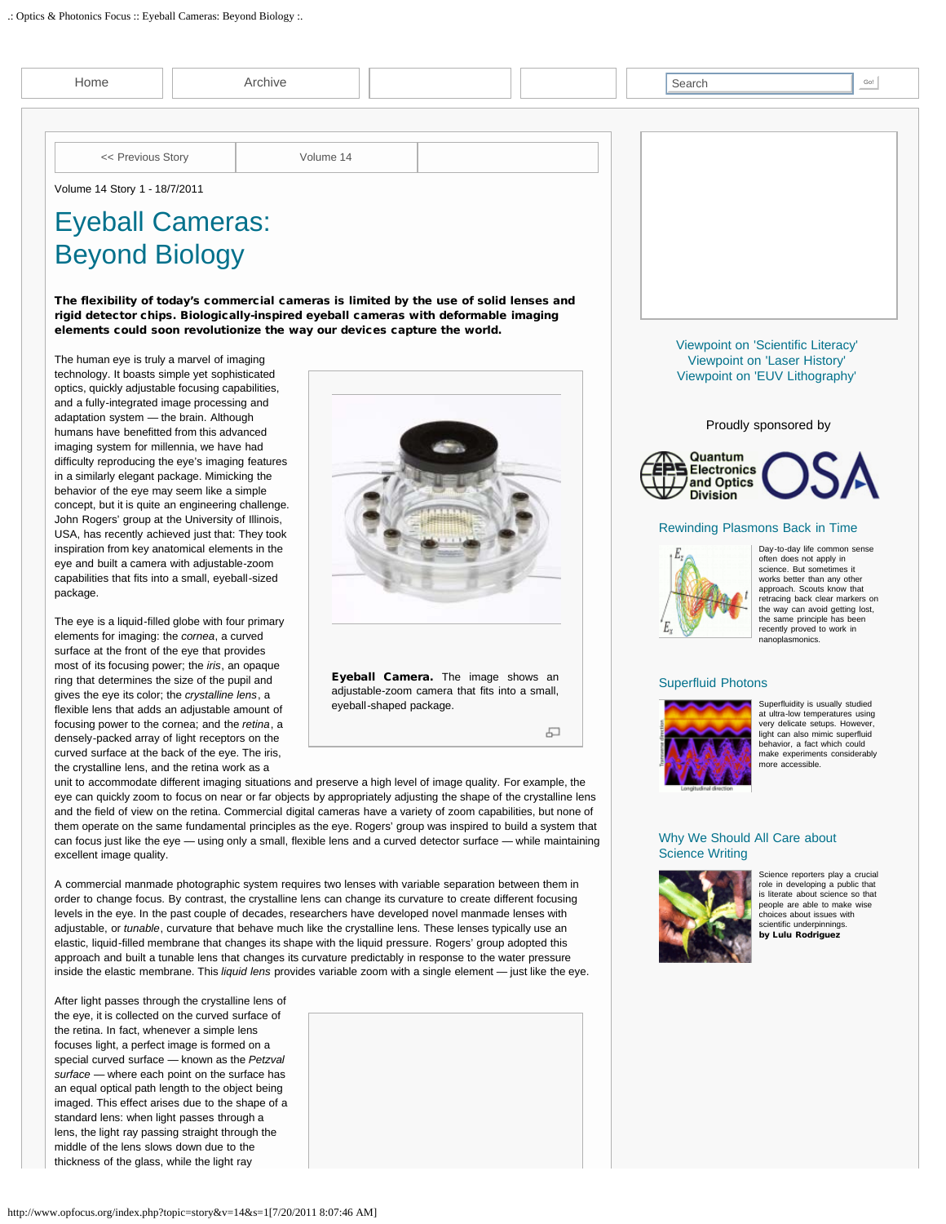| Archive<br>Home                                                                                                                                                                                                                         |                                                                                                                                                                                                                                                            |           |                                                |   | Search                                       | Go!                                                                               |
|-----------------------------------------------------------------------------------------------------------------------------------------------------------------------------------------------------------------------------------------|------------------------------------------------------------------------------------------------------------------------------------------------------------------------------------------------------------------------------------------------------------|-----------|------------------------------------------------|---|----------------------------------------------|-----------------------------------------------------------------------------------|
|                                                                                                                                                                                                                                         |                                                                                                                                                                                                                                                            |           |                                                |   |                                              |                                                                                   |
| << Previous Story                                                                                                                                                                                                                       |                                                                                                                                                                                                                                                            | Volume 14 |                                                |   |                                              |                                                                                   |
| Volume 14 Story 1 - 18/7/2011                                                                                                                                                                                                           |                                                                                                                                                                                                                                                            |           |                                                |   |                                              |                                                                                   |
| <b>Eyeball Cameras:</b><br><b>Beyond Biology</b>                                                                                                                                                                                        | The flexibility of today's commercial cameras is limited by the use of solid lenses and<br>rigid detector chips. Biologically-inspired eyeball cameras with deformable imaging<br>elements could soon revolutionize the way our devices capture the world. |           |                                                |   |                                              |                                                                                   |
| The human eye is truly a marvel of imaging                                                                                                                                                                                              |                                                                                                                                                                                                                                                            |           |                                                |   |                                              | Viewpoint on 'Scientific Literacy'<br>Viewpoint on 'Laser History'                |
| technology. It boasts simple yet sophisticated                                                                                                                                                                                          |                                                                                                                                                                                                                                                            |           |                                                |   |                                              | Viewpoint on 'EUV Lithography'                                                    |
| optics, quickly adjustable focusing capabilities,<br>and a fully-integrated image processing and                                                                                                                                        |                                                                                                                                                                                                                                                            |           |                                                |   |                                              |                                                                                   |
| adaptation system - the brain. Although<br>humans have benefitted from this advanced<br>imaging system for millennia, we have had<br>difficulty reproducing the eye's imaging features<br>in a similarly elegant package. Mimicking the |                                                                                                                                                                                                                                                            |           |                                                |   | Quantum<br><b>SElectronics</b><br>and Optics | Proudly sponsored by                                                              |
| behavior of the eye may seem like a simple                                                                                                                                                                                              |                                                                                                                                                                                                                                                            |           |                                                |   | <b>Division</b>                              |                                                                                   |
| John Rogers' group at the University of Illinois,                                                                                                                                                                                       | concept, but it is quite an engineering challenge.                                                                                                                                                                                                         |           |                                                |   |                                              |                                                                                   |
| USA, has recently achieved just that: They took                                                                                                                                                                                         |                                                                                                                                                                                                                                                            |           |                                                |   | Rewinding Plasmons Back in Time              | Day-to-day life common sense                                                      |
| inspiration from key anatomical elements in the<br>eye and built a camera with adjustable-zoom                                                                                                                                          |                                                                                                                                                                                                                                                            |           |                                                |   |                                              | often does not apply in<br>science. But sometimes it                              |
| capabilities that fits into a small, eyeball-sized                                                                                                                                                                                      |                                                                                                                                                                                                                                                            |           |                                                |   |                                              | works better than any other<br>approach. Scouts know that                         |
| package.                                                                                                                                                                                                                                |                                                                                                                                                                                                                                                            |           |                                                |   |                                              | retracing back clear markers on<br>the way can avoid getting lost,                |
| The eye is a liquid-filled globe with four primary                                                                                                                                                                                      |                                                                                                                                                                                                                                                            |           |                                                |   |                                              | the same principle has been<br>recently proved to work in                         |
| elements for imaging: the cornea, a curved<br>surface at the front of the eye that provides                                                                                                                                             |                                                                                                                                                                                                                                                            |           |                                                |   |                                              | nanoplasmonics.                                                                   |
| most of its focusing power; the <i>iris</i> , an opaque                                                                                                                                                                                 |                                                                                                                                                                                                                                                            |           | Eyeball Camera. The image shows an             |   |                                              |                                                                                   |
| ring that determines the size of the pupil and<br>gives the eye its color; the crystalline lens, a                                                                                                                                      |                                                                                                                                                                                                                                                            |           | adjustable-zoom camera that fits into a small, |   | <b>Superfluid Photons</b>                    |                                                                                   |
| flexible lens that adds an adjustable amount of                                                                                                                                                                                         |                                                                                                                                                                                                                                                            |           | eyeball-shaped package.                        |   |                                              | Superfluidity is usually studied<br>at ultra-low temperatures using               |
| focusing power to the cornea; and the retina, a<br>densely-packed array of light receptors on the                                                                                                                                       |                                                                                                                                                                                                                                                            |           |                                                | 모 |                                              | very delicate setups. However,<br>light can also mimic superfluid                 |
| curved surface at the back of the eye. The iris,                                                                                                                                                                                        |                                                                                                                                                                                                                                                            |           |                                                |   |                                              | behavior, a fact which could<br>make experiments considerably<br>more accessible. |
| the crystalline lens, and the retina work as a                                                                                                                                                                                          | unit to accommodate different imaging situations and preserve a high level of image quality. For example, the                                                                                                                                              |           |                                                |   |                                              |                                                                                   |
|                                                                                                                                                                                                                                         | eye can quickly zoom to focus on near or far objects by appropriately adjusting the shape of the crystalline lens                                                                                                                                          |           |                                                |   |                                              |                                                                                   |
|                                                                                                                                                                                                                                         | and the field of view on the retina. Commercial digital cameras have a variety of zoom capabilities, but none of<br>them operate on the same fundamental principles as the eye. Rogers' group was inspired to build a system that                          |           |                                                |   |                                              |                                                                                   |
|                                                                                                                                                                                                                                         | can focus just like the eye — using only a small, flexible lens and a curved detector surface — while maintaining                                                                                                                                          |           |                                                |   | Why We Should All Care about                 |                                                                                   |
| excellent image quality.                                                                                                                                                                                                                |                                                                                                                                                                                                                                                            |           |                                                |   | <b>Science Writing</b>                       | Science reporters play a crucial                                                  |
|                                                                                                                                                                                                                                         | A commercial manmade photographic system requires two lenses with variable separation between them in                                                                                                                                                      |           |                                                |   |                                              | role in developing a public that<br>is literate about science so that             |
|                                                                                                                                                                                                                                         | order to change focus. By contrast, the crystalline lens can change its curvature to create different focusing<br>levels in the eye. In the past couple of decades, researchers have developed novel manmade lenses with                                   |           |                                                |   |                                              | people are able to make wise<br>choices about issues with                         |
|                                                                                                                                                                                                                                         | adjustable, or <i>tunable</i> , curvature that behave much like the crystalline lens. These lenses typically use an                                                                                                                                        |           |                                                |   |                                              | scientific underpinnings.<br>by Lulu Rodriguez                                    |
|                                                                                                                                                                                                                                         | elastic, liquid-filled membrane that changes its shape with the liquid pressure. Rogers' group adopted this<br>approach and built a tunable lens that changes its curvature predictably in response to the water pressure                                  |           |                                                |   |                                              |                                                                                   |
|                                                                                                                                                                                                                                         | inside the elastic membrane. This liquid lens provides variable zoom with a single element - just like the eye.                                                                                                                                            |           |                                                |   |                                              |                                                                                   |
| After light passes through the crystalline lens of                                                                                                                                                                                      |                                                                                                                                                                                                                                                            |           |                                                |   |                                              |                                                                                   |
| the eye, it is collected on the curved surface of                                                                                                                                                                                       |                                                                                                                                                                                                                                                            |           |                                                |   |                                              |                                                                                   |
| the retina. In fact, whenever a simple lens<br>focuses light, a perfect image is formed on a                                                                                                                                            |                                                                                                                                                                                                                                                            |           |                                                |   |                                              |                                                                                   |
| special curved surface - known as the Petzval                                                                                                                                                                                           |                                                                                                                                                                                                                                                            |           |                                                |   |                                              |                                                                                   |
| surface - where each point on the surface has<br>an equal optical path length to the object being                                                                                                                                       |                                                                                                                                                                                                                                                            |           |                                                |   |                                              |                                                                                   |
| imaged. This effect arises due to the shape of a                                                                                                                                                                                        |                                                                                                                                                                                                                                                            |           |                                                |   |                                              |                                                                                   |
| standard lens: when light passes through a                                                                                                                                                                                              |                                                                                                                                                                                                                                                            |           |                                                |   |                                              |                                                                                   |
| lens, the light ray passing straight through the<br>middle of the lens slows down due to the                                                                                                                                            |                                                                                                                                                                                                                                                            |           |                                                |   |                                              |                                                                                   |
| thickness of the glass, while the light ray                                                                                                                                                                                             |                                                                                                                                                                                                                                                            |           |                                                |   |                                              |                                                                                   |